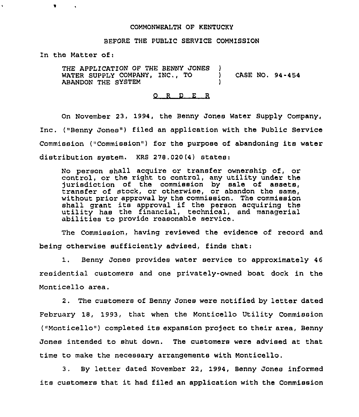## COMMONWEALTH OF KENTUCKY

## BEFORE THE PUBLIC SERVICE COMMISSION

In the Matter of:

THE APPLICATION OF THE BENNY JONES WATER SUPPLY COMPANY, INC., TO (ASE NO. 94-454) ABANDON THE SYSTEM

## 0 <sup>R</sup> <sup>D</sup> <sup>E</sup> <sup>R</sup>

On November 23, 1994, the Benny Jones Water Supply Company, Inc. ("Benny Jones") filed an application with the Public Service Commission ("Commission") for the purpose of abandoning its water distribution system. KRS 278.020(4) states:

No person shall acquire or transfer ownership of, or control, or the right to control, any utility under the jurisdiction of the commission by sale of assets, transfer of stock, or otherwise, or abandon tho same, without prior approval by the commission. The commission shall grant its approval if the person acquiring the utility has the financial, technical, and managerial abilities to provide reasonable service.

The Commission, having reviewed the evidence of record and being otherwise sufficiently advised, finds that:

1. Benny Jones provides water service to approximately <sup>46</sup> residential customers and one privately-owned boat dock in the Monticello area.

2. The customers of Benny Jones were notified by letter dated February 18, 1993, that when the Monticello Utility Commission ("Monticello") completed its expansion project to their area, Benny Jones intended to shut down. The customers were advised at that time to make the necessary arrangements with Monticello.

3. By letter dated November 22, 1994, Benny Jones informed its customers that it had filed an application with the Commission